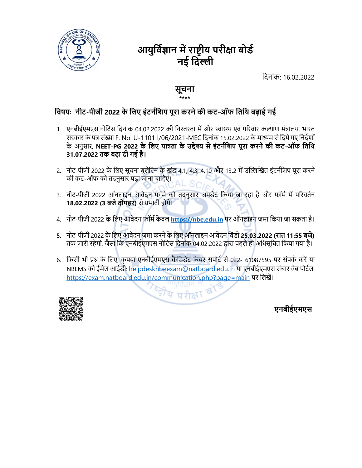

# आयुर्विज्ञान में राष्टीय परीक्षा बोर्ड नई दिल्ली

िदनांक: 16.02.2022

### सूचना \*\*\*\*

- विज्ञान में राष्ट्रीय परीक्षा बोर्ड<br>बाद दिल्ली<br>नई दिल्ली<br>विषयः नीट-पीजी 2022 के लिए इंटर्नशिप पूरा करने की कट-ऑफ तिथि बढ़ाई गई<br>नाट-पीजी 2022 के लिए इंटर्नशिप पूरा करने की कट-ऑफ तिथि बढ़ाई गई<br>सरकार के पत्र संख्या F. No. U 1. एनबीईएमएस नोटिस दिनांक 04.02.2022 की निरंतरता में और स्वास्थ्य एवं परिवार कल्याण मंत्रालय, भारत<br>सरकार के पत्र संख्या F. No. U-11011/06/2021-MEC दिनांक 15.02.2022 के माध्यम से दिये गए निर्देशों स्रोह को अनुस्**तिज्ञान में राष्ट्रीय परीक्षा बोर्ड**<br>बाल में **F. No. U-11011/06/2021-MEC हैं दिल्ली**<br>मुसना स्था करने **को कट-ऑफ तिथि बढ़ाई गई**<br>एनबीईएमएस नोटिस दिनांक 04.02.2022 की निरंतरता में और स्वास्थ्य एवं परिवार कल्या 31.07.2022 तक बढ़ा दी गई है। 2. नीट-पीजी 2022 के िलए सूचना बुलेिटन के खंड 4.1, 4.3, 4.10 और 13.2 मŐ उİʟİखत इंटनŊिशप पूरा करने 4. नीट-पीजी 2022 के लिए इंटर्नशिप पूरा करने की कट-आँफ तिथि बढ़ाई गई<br>1. एनबीईएमएस नोटिस दिनांक 04.02.2022 को निरंतरता में और स्वास्थ्य एवं परिवार कल्याण मंत्रालय, भारत<br>सरकार के पत्र संख्या F. No. U-11011/06/2021-MEC दिनां **देवयः नीट-पीजी 2022 के लिए इंटर्नशिप पूरा करने की कट-ऑफ तिथि बढ़ाई गई<br>1. एनबीईएमएस नोटिस दिनांक 04.02.2022 की निरंतरता में और स्वास्थ्य एवं परिवार कदयाण मंत्रालय, भारत<br>सरकार के पत्र संख्या F. No. U-11011/06/2021-MEC दिन वेषयः -नीट-पीजी 2022 के लिए इंटर्नशिप पूरा करने की कट-ऑफ तिथि बढ़ाई गई**<br>1. एनबीईएमएस नोटिस दिनांक 04.02.2022 की निरंतरता में और स्वास्थ्य एवं परिवार कल्याण मंत्रालय, भारत<br>सरकार के पत्र संख्या F. No. U-11011/06/2021-MEC द
- की कट-ऑफ को तदनुसार पढ़ा जाना चािहए।
- 3. नीट-पीजी 2022 ऑनलाइन आवेदन फॉर्म को तदनुसार अपडेट किया जा रहा है और फॉर्म में परिवर्तन 18.02.2022 (3 बजे दोपहर) से प्रभावी होंगे।
- 
- तक जारी रहेगी, जैसा िक एनबीईएमएस नोिटस िदनांक 04.02.2022 Ȫारा पहले ही अिधसूिचत िकया गया है।
- NBEMS को ईमेल आईडी: helpdesknbeexam@natboard.edu.in या एनबीईएमएस संचार वेब पोर्टल: https://exam.natboard.edu.in/communication.php?page=main पर लिखें।



एनबीईएमएस